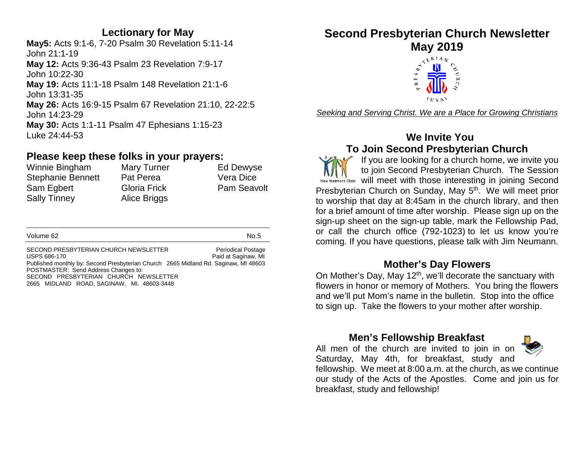### **Lectionary for May**

**May5:** Acts 9:1-6, 7-20 Psalm 30 Revelation 5:11-14 John 21:1-19 **May 12:** Acts 9:36-43 Psalm 23 Revelation 7:9-17 John 10:22-30 **May 19:** Acts 11:1-18 Psalm 148 Revelation 21:1-6 John 13:31-35 **May 26:** Acts 16:9-15 Psalm 67 Revelation 21:10, 22-22:5 John 14:23-29 **May 30:** Acts 1:1-11 Psalm 47 Ephesians 1:15-23 Luke 24:44-53

#### **Please keep these folks in your prayers:**

| Winnie Bingham           | Mary Turner         | Ed Dewyse          |
|--------------------------|---------------------|--------------------|
| <b>Stephanie Bennett</b> | Pat Perea           | Vera Dice          |
| Sam Egbert               | <b>Gloria Frick</b> | <b>Pam Seavolt</b> |
| <b>Sally Tinney</b>      | Alice Briggs        |                    |

| Volume 62 | No.5 |
|-----------|------|

SECOND PRESBYTERIAN CHURCH NEWSLETTER Periodical Postage USPS 686-170 **Paid at Saginaw, MI** Published monthly by: Second Presbyterian Church 2665 Midland Rd. Saginaw, MI 48603 POSTMASTER: Send Address Changes to: SECOND PRESBYTERIAN CHURCH NEWSLETTER 2665 MIDLAND ROAD, SAGINAW, MI. 48603-3448

**Second Presbyterian Church Newsletter**



*Seeking and Serving Christ. We are a Place for Growing Christians*

### **We Invite You To Join Second Presbyterian Church**

If you are looking for a church home, we invite you to join Second Presbyterian Church. The Session New Members Class will meet with those interesting in joining Second Presbyterian Church on Sunday, May 5<sup>th</sup>. We will meet prior to worship that day at 8:45am in the church library, and then for a brief amount of time after worship. Please sign up on the sign-up sheet on the sign-up table, mark the Fellowship Pad, or call the church office (792-1023) to let us know you're coming. If you have questions, please talk with Jim Neumann.

### **Mother's Day Flowers**

On Mother's Day, May 12<sup>th</sup>, we'll decorate the sanctuary with flowers in honor or memory of Mothers. You bring the flowers and we'll put Mom's name in the bulletin. Stop into the office to sign up. Take the flowers to your mother after worship.

### **Men's Fellowship Breakfast**

All men of the church are invited to join in on Saturday, May 4th, for breakfast, study and fellowship. We meet at 8:00 a.m. at the church, as we continue our study of the Acts of the Apostles. Come and join us for breakfast, study and fellowship!

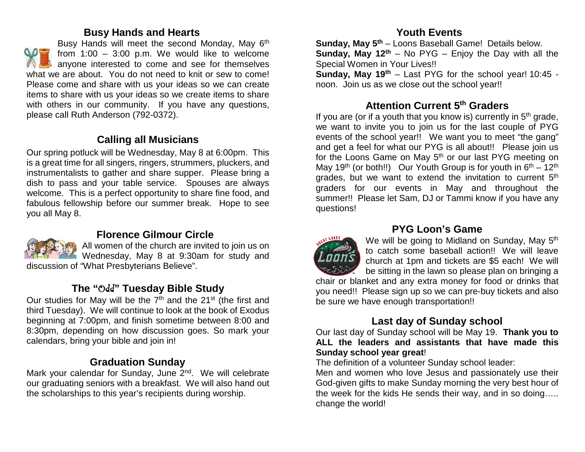#### **Busy Hands and Hearts**

Busy Hands will meet the second Monday, May 6<sup>th</sup> from  $1:00 - 3:00$  p.m. We would like to welcome anyone interested to come and see for themselves what we are about. You do not need to knit or sew to come! Please come and share with us your ideas so we can create items to share with us your ideas so we create items to share with others in our community. If you have any questions, please call Ruth Anderson (792-0372).

# **Calling all Musicians**

Our spring potluck will be Wednesday, May 8 at 6:00pm. This is a great time for all singers, ringers, strummers, pluckers, and instrumentalists to gather and share supper. Please bring a dish to pass and your table service. Spouses are always welcome. This is a perfect opportunity to share fine food, and fabulous fellowship before our summer break. Hope to see you all May 8.



### **Florence Gilmour Circle**

All women of the church are invited to join us on Wednesday, May 8 at 9:30am for study and discussion of "What Presbyterians Believe".

# **The "**Odd**" Tuesday Bible Study**

Our studies for May will be the  $7<sup>th</sup>$  and the  $21<sup>st</sup>$  (the first and third Tuesday). We will continue to look at the book of Exodus beginning at 7:00pm, and finish sometime between 8:00 and 8:30pm, depending on how discussion goes. So mark your calendars, bring your bible and join in!

### **Graduation Sunday**

Mark your calendar for Sunday, June 2<sup>nd</sup>. We will celebrate our graduating seniors with a breakfast. We will also hand out the scholarships to this year's recipients during worship.

# **Youth Events**

**Sunday, May 5th** – Loons Baseball Game! Details below. **Sunday, May 12<sup>th</sup>** – No PYG – Enjoy the Day with all the Special Women in Your Lives!!

**Sunday, May 19th** – Last PYG for the school year! 10:45 noon. Join us as we close out the school year!!

# **Attention Current 5th Graders**

If you are (or if a youth that you know is) currently in  $5<sup>th</sup>$  grade, we want to invite you to join us for the last couple of PYG events of the school year!! We want you to meet "the gang" and get a feel for what our PYG is all about!! Please join us for the Loons Game on May  $5<sup>th</sup>$  or our last PYG meeting on May 19<sup>th</sup> (or both!!) Our Youth Group is for youth in  $6<sup>th</sup> - 12<sup>th</sup>$ grades, but we want to extend the invitation to current 5<sup>th</sup> graders for our events in May and throughout the summer!! Please let Sam, DJ or Tammi know if you have any questions!



# **PYG Loon's Game**

We will be going to Midland on Sunday, May 5<sup>th</sup> to catch some baseball action!! We will leave church at 1pm and tickets are \$5 each! We will be sitting in the lawn so please plan on bringing a

chair or blanket and any extra money for food or drinks that you need!! Please sign up so we can pre-buy tickets and also be sure we have enough transportation!!

# **Last day of Sunday school**

Our last day of Sunday school will be May 19. **Thank you to ALL the leaders and assistants that have made this Sunday school year great**!

The definition of a volunteer Sunday school leader:

Men and women who love Jesus and passionately use their God-given gifts to make Sunday morning the very best hour of the week for the kids He sends their way, and in so doing….. change the world!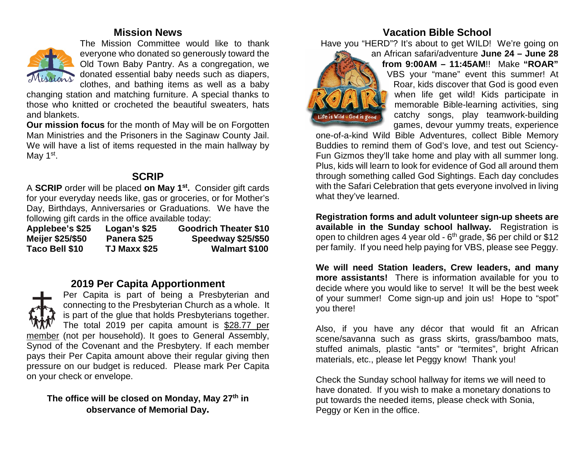#### **Mission News**



The Mission Committee would like to thank everyone who donated so generously toward the Old Town Baby Pantry. As a congregation, we donated essential baby needs such as diapers, clothes, and bathing items as well as a baby

changing station and matching furniture. A special thanks to those who knitted or crocheted the beautiful sweaters, hats and blankets.

**Our mission focus** for the month of May will be on Forgotten Man Ministries and the Prisoners in the Saginaw County Jail. We will have a list of items requested in the main hallway by May  $1<sup>st</sup>$ .

### **SCRIP**

A **SCRIP** order will be placed **on May 1st.** Consider gift cards for your everyday needs like, gas or groceries, or for Mother's Day, Birthdays, Anniversaries or Graduations. We have the following gift cards in the office available today:

| Applebee's \$25  | Logan's \$25        | <b>Goodrich Theater \$10</b> |
|------------------|---------------------|------------------------------|
| Meijer \$25/\$50 | Panera \$25         | Speedway \$25/\$50           |
| Taco Bell \$10   | <b>TJ Maxx \$25</b> | <b>Walmart \$100</b>         |

# **2019 Per Capita Apportionment**



Per Capita is part of being a Presbyterian and connecting to the Presbyterian Church as a whole. It is part of the glue that holds Presbyterians together. The total 2019 per capita amount is \$28.77 per member (not per household). It goes to General Assembly, Synod of the Covenant and the Presbytery. If each member pays their Per Capita amount above their regular giving then pressure on our budget is reduced. Please mark Per Capita on your check or envelope.

#### **The office will be closed on Monday, May 27th in observance of Memorial Day.**

# **Vacation Bible School**

Have you "HERD"? It's about to get WILD! We're going on



an African safari/adventure **June 24 – June 28 from 9:00AM – 11:45AM**!! Make **"ROAR"** VBS your "mane" event this summer! At Roar, kids discover that God is good even when life get wild! Kids participate in memorable Bible-learning activities, sing catchy songs, play teamwork-building games, devour yummy treats, experience

one-of-a-kind Wild Bible Adventures, collect Bible Memory Buddies to remind them of God's love, and test out Sciency-Fun Gizmos they'll take home and play with all summer long. Plus, kids will learn to look for evidence of God all around them through something called God Sightings. Each day concludes with the Safari Celebration that gets everyone involved in living what they've learned.

**Registration forms and adult volunteer sign-up sheets are available in the Sunday school hallway.** Registration is open to children ages 4 year old -  $6<sup>th</sup>$  grade, \$6 per child or \$12 per family. If you need help paying for VBS, please see Peggy.

**We will need Station leaders, Crew leaders, and many more assistants!** There is information available for you to decide where you would like to serve! It will be the best week of your summer! Come sign-up and join us! Hope to "spot" you there!

Also, if you have any décor that would fit an African scene/savanna such as grass skirts, grass/bamboo mats, stuffed animals, plastic "ants" or "termites", bright African materials, etc., please let Peggy know! Thank you!

Check the Sunday school hallway for items we will need to have donated. If you wish to make a monetary donations to put towards the needed items, please check with Sonia, Peggy or Ken in the office.